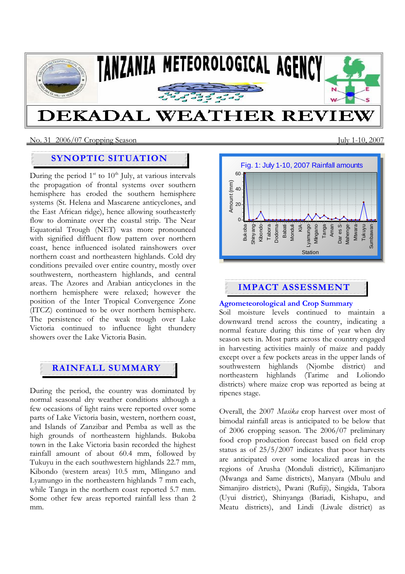

### No. 31 2006/07 Cropping SeasonJuly 1-10, 2007

# **SYNOPTIC SITUATION**

During the period  $1<sup>st</sup>$  to  $10<sup>th</sup>$  July, at various intervals the propagation of frontal systems over southern hemisphere has eroded the southern hemisphere systems (St. Helena and Mascarene anticyclones, and the East African ridge), hence allowing southeasterly flow to dominate over the coastal strip. The Near Equatorial Trough (NET) was more pronounced with signified diffluent flow pattern over northern coast, hence influenced isolated rainshowers over northern coast and northeastern highlands. Cold dry conditions prevailed over entire country, mostly over southwestern, northeastern highlands, and central areas. The Azores and Arabian anticyclones in the northern hemisphere were relaxed; however the position of the Inter Tropical Convergence Zone (ITCZ) continued to be over northern hemisphere. The persistence of the weak trough over Lake Victoria continued to influence light thundery showers over the Lake Victoria Basin.

# **RAINFALL SUMMARY**

During the period, the country was dominated by normal seasonal dry weather conditions although a few occasions of light rains were reported over some parts of Lake Victoria basin, western, northern coast, and Islands of Zanzibar and Pemba as well as the high grounds of northeastern highlands. Bukoba town in the Lake Victoria basin recorded the highest rainfall amount of about 60.4 mm, followed by Tukuyu in the each southwestern highlands 22.7 mm, Kibondo (western areas) 10.5 mm, Mlingano and Lyamungo in the northeastern highlands 7 mm each, while Tanga in the northern coast reported 5.7 mm. Some other few areas reported rainfall less than 2 mm.



# **IMPACT ASSESSMENT**

## **Agrometeorological and Crop Summary**

Soil moisture levels continued to maintain a downward trend across the country, indicating a normal feature during this time of year when dry season sets in. Most parts across the country engaged in harvesting activities mainly of maize and paddy except over a few pockets areas in the upper lands of southwestern highlands (Njombe district) and northeastern highlands (Tarime and Loliondo districts) where maize crop was reported as being at ripenes stage.

Overall, the 2007 *Masika* crop harvest over most of bimodal rainfall areas is anticipated to be below that of 2006 cropping season. The 2006/07 preliminary food crop production forecast based on field crop status as of 25/5/2007 indicates that poor harvests are anticipated over some localized areas in the regions of Arusha (Monduli district), Kilimanjaro (Mwanga and Same districts), Manyara (Mbulu and Simanjiro districts), Pwani (Rufiji), Singida, Tabora (Uyui district), Shinyanga (Bariadi, Kishapu, and Meatu districts), and Lindi (Liwale district) as